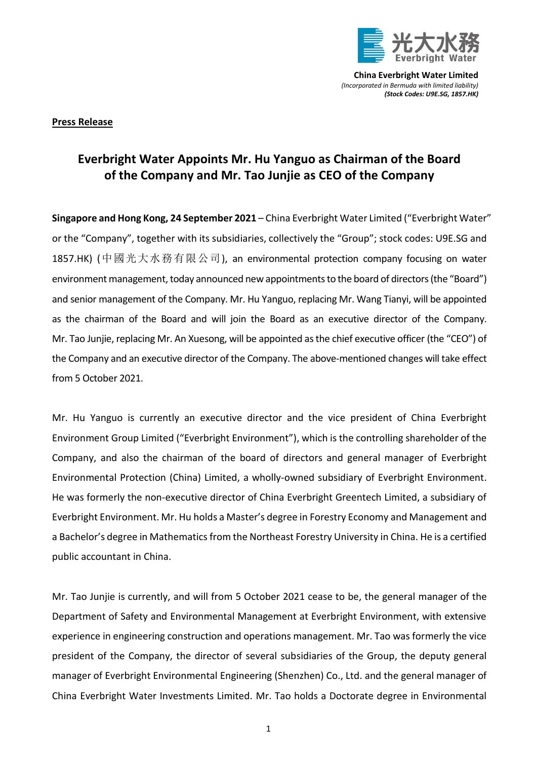

**China Everbright Water Limited** *(Incorporated in Bermuda with limited liability) (Stock Codes: U9E.SG, 1857.HK)*

## **Press Release**

## **Everbright Water Appoints Mr. Hu Yanguo as Chairman of the Board of the Company and Mr. Tao Junjie as CEO of the Company**

**Singapore and Hong Kong, 24 September 2021** – China Everbright Water Limited ("Everbright Water" or the "Company", together with its subsidiaries, collectively the "Group"; stock codes: U9E.SG and 1857.HK) (中國光大水務有限公司), an environmental protection company focusing on water environment management, today announced new appointments to the board of directors (the "Board") and senior management of the Company. Mr. Hu Yanguo, replacing Mr. Wang Tianyi, will be appointed as the chairman of the Board and will join the Board as an executive director of the Company. Mr. Tao Junjie, replacing Mr. An Xuesong, will be appointed as the chief executive officer (the "CEO") of the Company and an executive director of the Company. The above-mentioned changes will take effect from 5 October 2021.

Mr. Hu Yanguo is currently an executive director and the vice president of China Everbright Environment Group Limited ("Everbright Environment"), which is the controlling shareholder of the Company, and also the chairman of the board of directors and general manager of Everbright Environmental Protection (China) Limited, a wholly-owned subsidiary of Everbright Environment. He was formerly the non-executive director of China Everbright Greentech Limited, a subsidiary of Everbright Environment. Mr. Hu holds a Master's degree in Forestry Economy and Management and a Bachelor's degree in Mathematics from the Northeast Forestry University in China. He is a certified public accountant in China.

Mr. Tao Junjie is currently, and will from 5 October 2021 cease to be, the general manager of the Department of Safety and Environmental Management at Everbright Environment, with extensive experience in engineering construction and operations management. Mr. Tao was formerly the vice president of the Company, the director of several subsidiaries of the Group, the deputy general manager of Everbright Environmental Engineering (Shenzhen) Co., Ltd. and the general manager of China Everbright Water Investments Limited. Mr. Tao holds a Doctorate degree in Environmental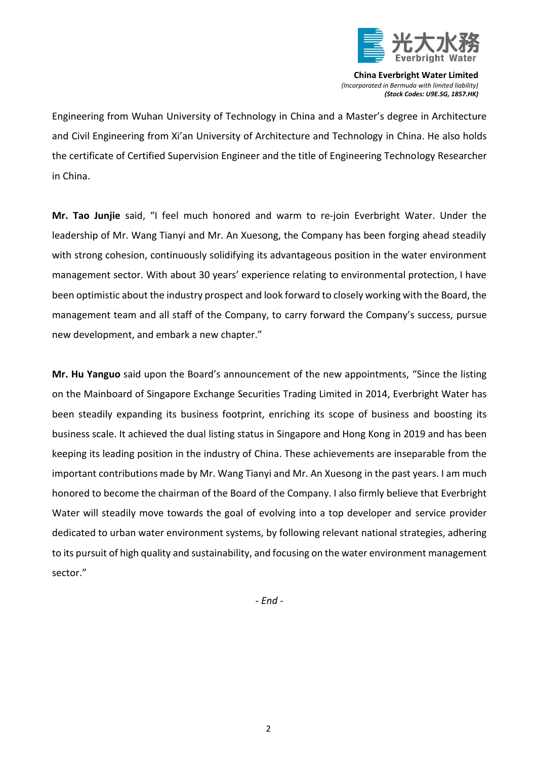

**China Everbright Water Limited** *(Incorporated in Bermuda with limited liability) (Stock Codes: U9E.SG, 1857.HK)*

Engineering from Wuhan University of Technology in China and a Master's degree in Architecture and Civil Engineering from Xi'an University of Architecture and Technology in China. He also holds the certificate of Certified Supervision Engineer and the title of Engineering Technology Researcher in China.

**Mr. Tao Junjie** said, "I feel much honored and warm to re-join Everbright Water. Under the leadership of Mr. Wang Tianyi and Mr. An Xuesong, the Company has been forging ahead steadily with strong cohesion, continuously solidifying its advantageous position in the water environment management sector. With about 30 years' experience relating to environmental protection, I have been optimistic about the industry prospect and look forward to closely working with the Board, the management team and all staff of the Company, to carry forward the Company's success, pursue new development, and embark a new chapter."

**Mr. Hu Yanguo** said upon the Board's announcement of the new appointments, "Since the listing on the Mainboard of Singapore Exchange Securities Trading Limited in 2014, Everbright Water has been steadily expanding its business footprint, enriching its scope of business and boosting its business scale. It achieved the dual listing status in Singapore and Hong Kong in 2019 and has been keeping its leading position in the industry of China. These achievements are inseparable from the important contributions made by Mr. Wang Tianyi and Mr. An Xuesong in the past years. I am much honored to become the chairman of the Board of the Company. I also firmly believe that Everbright Water will steadily move towards the goal of evolving into a top developer and service provider dedicated to urban water environment systems, by following relevant national strategies, adhering to its pursuit of high quality and sustainability, and focusing on the water environment management sector."

*- End -*